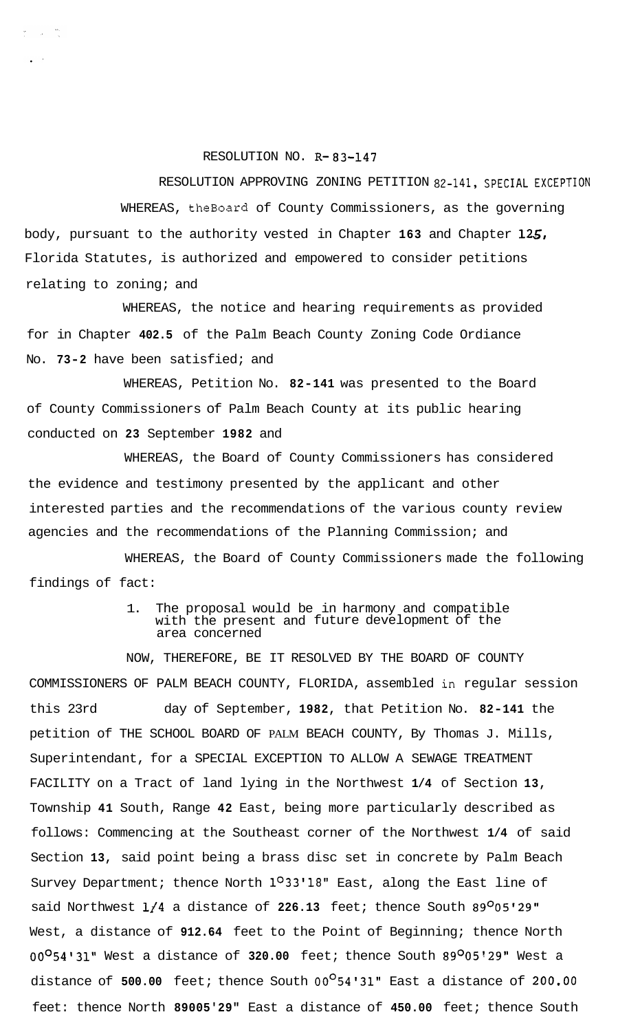## RESOLUTION NO. **R-83-147**

 $\label{eq:2.1} \frac{1}{\sqrt{2}}\int_{-\infty}^{\infty}\frac{d\mu}{\sqrt{2}}\,d\mu$ 

RESOLUTION APPROVING ZONING PETITION 82-141, SPECIAL EXCEPTION WHEREAS, theBoard of County Commissioners, as the governing body, pursuant to the authority vested in Chapter **163** and Chapter **125,**  Florida Statutes, is authorized and empowered to consider petitions relating to zoning; and

WHEREAS, the notice and hearing requirements as provided for in Chapter **402.5** of the Palm Beach County Zoning Code Ordiance No. **73-2** have been satisfied; and

WHEREAS, Petition No. **82-141** was presented to the Board of County Commissioners of Palm Beach County at its public hearing conducted on **23** September **1982** and

WHEREAS, the Board of County Commissioners has considered the evidence and testimony presented by the applicant and other interested parties and the recommendations of the various county review agencies and the recommendations of the Planning Commission; and

WHEREAS, the Board of County Commissioners made the following findings of fact:

## 1. The proposal would be in harmony and compatible with the present and future development of the area concerned

NOW, THEREFORE, BE IT RESOLVED BY THE BOARD OF COUNTY COMMISSIONERS OF PALM BEACH COUNTY, FLORIDA, assembled in regular session this 23rd day of September, **1982,** that Petition No. **82-141** the petition of THE SCHOOL BOARD OF PALM BEACH COUNTY, By Thomas J. Mills, Superintendant, for a SPECIAL EXCEPTION TO ALLOW A SEWAGE TREATMENT FACILITY on a Tract of land lying in the Northwest **1/4** of Section **13,**  Township **41** South, Range **42** East, being more particularly described as follows: Commencing at the Southeast corner of the Northwest **1/4** of said Section **13,** said point being a brass disc set in concrete by Palm Beach Survey Department; thence North **1°33'18"** East, along the East line of said Northwest **1/4** a distance of **226.13** feet; thence South **89O05'29"**  West, a distance of **912.64** feet to the Point of Beginning; thence North **00°54'31"** West a distance of **320.00** feet; thence South **89O05'29"** West a distance of **500.00** feet; thence South **00°54'31"** East a distance of **200,OO**  feet: thence North **89005'29"** East a distance of **450.00** feet; thence South